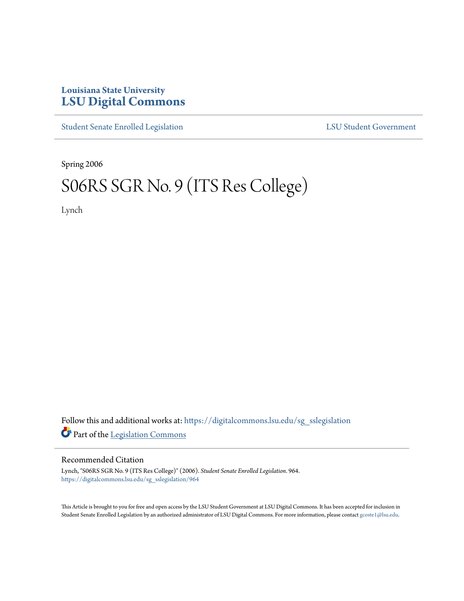## **Louisiana State University [LSU Digital Commons](https://digitalcommons.lsu.edu?utm_source=digitalcommons.lsu.edu%2Fsg_sslegislation%2F964&utm_medium=PDF&utm_campaign=PDFCoverPages)**

[Student Senate Enrolled Legislation](https://digitalcommons.lsu.edu/sg_sslegislation?utm_source=digitalcommons.lsu.edu%2Fsg_sslegislation%2F964&utm_medium=PDF&utm_campaign=PDFCoverPages) [LSU Student Government](https://digitalcommons.lsu.edu/sg?utm_source=digitalcommons.lsu.edu%2Fsg_sslegislation%2F964&utm_medium=PDF&utm_campaign=PDFCoverPages)

Spring 2006

# S06RS SGR No. 9 (ITS Res College)

Lynch

Follow this and additional works at: [https://digitalcommons.lsu.edu/sg\\_sslegislation](https://digitalcommons.lsu.edu/sg_sslegislation?utm_source=digitalcommons.lsu.edu%2Fsg_sslegislation%2F964&utm_medium=PDF&utm_campaign=PDFCoverPages) Part of the [Legislation Commons](http://network.bepress.com/hgg/discipline/859?utm_source=digitalcommons.lsu.edu%2Fsg_sslegislation%2F964&utm_medium=PDF&utm_campaign=PDFCoverPages)

#### Recommended Citation

Lynch, "S06RS SGR No. 9 (ITS Res College)" (2006). *Student Senate Enrolled Legislation*. 964. [https://digitalcommons.lsu.edu/sg\\_sslegislation/964](https://digitalcommons.lsu.edu/sg_sslegislation/964?utm_source=digitalcommons.lsu.edu%2Fsg_sslegislation%2F964&utm_medium=PDF&utm_campaign=PDFCoverPages)

This Article is brought to you for free and open access by the LSU Student Government at LSU Digital Commons. It has been accepted for inclusion in Student Senate Enrolled Legislation by an authorized administrator of LSU Digital Commons. For more information, please contact [gcoste1@lsu.edu.](mailto:gcoste1@lsu.edu)